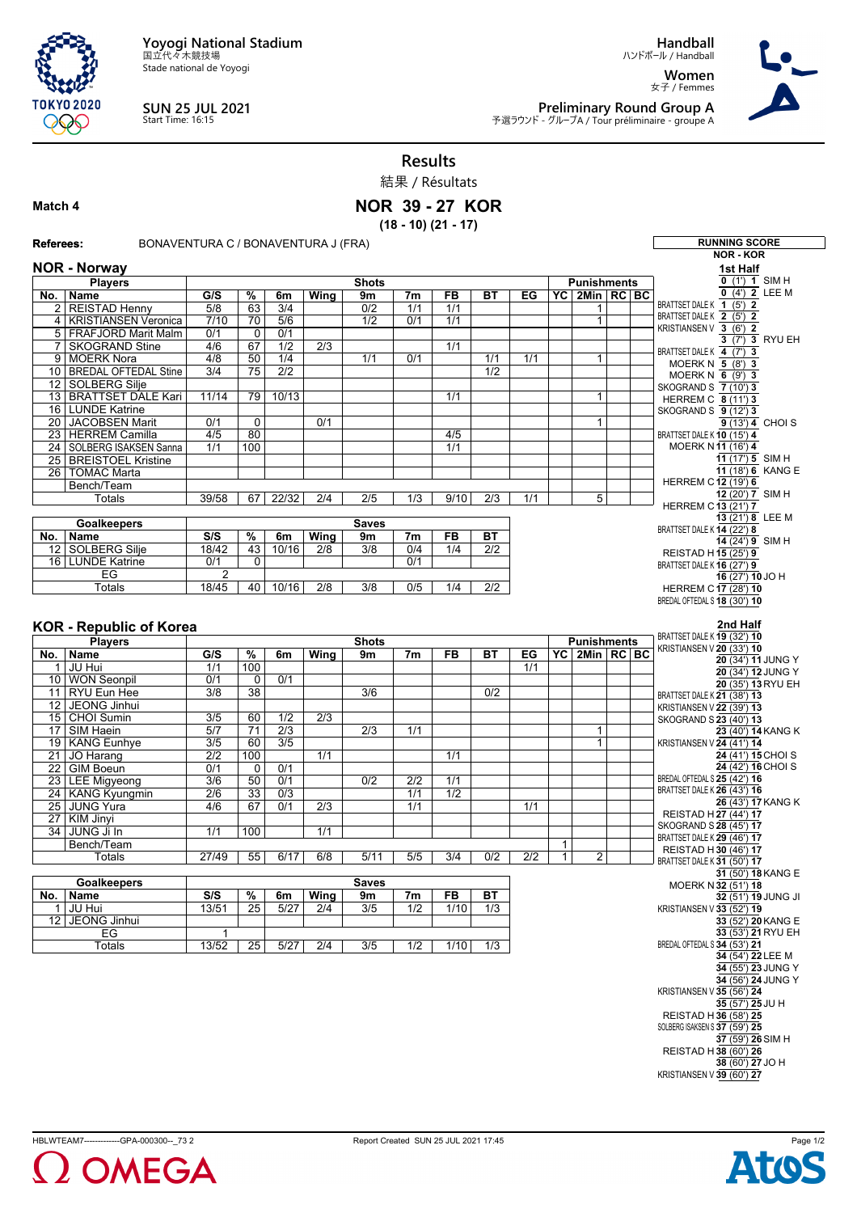**Yoyogi National Stadium** 国立代々木競技場

Stade national de Yoyogi



**SUN 25 JUL 2021** Start Time: 16:15

**Handball**

ハンドボール / Handball **Women** 女子 / Femmes



 $\mathcal{L}$ 

**Preliminary Round Group A**<br>予選ラウンド - グループA / Tour préliminaire - groupe A

**Results**

結果 / Résultats

## **Match 4**

## **NOR 39 - 27 KOR (18 - 10) (21 - 17)**

| <b>Referees:</b><br>BONAVENTURA C / BONAVENTURA J (FRA) |                                       |                  |                 |                  |                  |                  |                  |                | <b>RUNNING SCORE</b> |                  |   |                                |                  |  |                                                       |
|---------------------------------------------------------|---------------------------------------|------------------|-----------------|------------------|------------------|------------------|------------------|----------------|----------------------|------------------|---|--------------------------------|------------------|--|-------------------------------------------------------|
| <b>NOR - Norway</b>                                     |                                       |                  |                 |                  |                  |                  |                  |                |                      |                  |   |                                | <b>NOR - KOR</b> |  |                                                       |
|                                                         |                                       |                  |                 |                  |                  |                  |                  |                |                      |                  |   |                                |                  |  | 1st Half                                              |
|                                                         | <b>Players</b>                        |                  |                 |                  |                  | <b>Shots</b>     |                  |                |                      |                  |   | <b>Punishments</b>             |                  |  | $0$ (1') 1 SIM H                                      |
| No.                                                     | Name                                  | G/S              | $\overline{\%}$ | 6m               | Wing             | 9m               | 7m               | FB             | <b>BT</b>            | EG               |   | YC 2Min RC BC                  |                  |  | $0$ (4') 2 LEE M<br>BRATTSET DALE K 1 (5') 2          |
| 2 <sub>1</sub>                                          | <b>REISTAD Henny</b>                  | 5/8              | 63              | 3/4              |                  | 0/2              | 1/1              | 1/1            |                      |                  |   | 1                              |                  |  | BRATTSET DALE K 2 (5') 2                              |
| 4                                                       | <b>KRISTIANSEN Veronica</b>           | 7/10             | 70              | 5/6              |                  | $\overline{1/2}$ | 0/1              | 1/1            |                      |                  |   | $\mathbf{1}$                   |                  |  | KRISTIANSEN V 3 (6') 2                                |
|                                                         | 5 FRAFJORD Marit Malm                 | 0/1              | 0               | 0/1              |                  |                  |                  |                |                      |                  |   |                                |                  |  | 3 (7') 3 RYU EH                                       |
| $\overline{7}$                                          | <b>SKOGRAND Stine</b><br>9 MOERK Nora | 4/6<br>4/8       | 67<br>50        | 1/2<br>1/4       | $\overline{2/3}$ | 1/1              | 0/1              | 1/1            | 1/1                  | 1/1              |   | 1                              |                  |  | BRATTSET DALE K 4 (7') 3                              |
|                                                         | 10   BREDAL OFTEDAL Stine             | $\overline{3/4}$ | 75              | $\overline{2/2}$ |                  |                  |                  |                | 1/2                  |                  |   |                                |                  |  | MOERK N 5 (8') 3                                      |
|                                                         | 12 SOLBERG Silje                      |                  |                 |                  |                  |                  |                  |                |                      |                  |   |                                |                  |  | MOERKN $6$ (9') 3                                     |
|                                                         | 13 BRATTSET DALE Kari                 | 11/14            | 79              | 10/13            |                  |                  |                  | 1/1            |                      |                  |   | $\mathbf{1}$                   |                  |  | SKOGRAND S 7 (10') 3                                  |
|                                                         | 16 LUNDE Katrine                      |                  |                 |                  |                  |                  |                  |                |                      |                  |   |                                |                  |  | <b>HERREM C 8 (11') 3</b><br>SKOGRAND S 9 (12') 3     |
|                                                         | 20 JACOBSEN Marit                     | 0/1              | $\overline{0}$  |                  | 0/1              |                  |                  |                |                      |                  |   | 1                              |                  |  | 9 (13') 4 CHOI S                                      |
|                                                         | 23 HERREM Camilla                     | 4/5              | 80              |                  |                  |                  |                  | 4/5            |                      |                  |   |                                |                  |  | BRATTSET DALE K 10 (15') 4                            |
|                                                         | 24   SOLBERG ISAKSEN Sanna            | 1/1              | 100             |                  |                  |                  |                  | 1/1            |                      |                  |   |                                |                  |  | MOERK N11 (16') 4                                     |
|                                                         | 25 BREISTOEL Kristine                 |                  |                 |                  |                  |                  |                  |                |                      |                  |   |                                |                  |  | 11 $(17')$ 5 SIM H                                    |
|                                                         | 26   TOMAC Marta                      |                  |                 |                  |                  |                  |                  |                |                      |                  |   |                                |                  |  | 11 (18') 6 KANG E                                     |
|                                                         | Bench/Team                            |                  |                 |                  |                  |                  |                  |                |                      |                  |   |                                |                  |  | <b>HERREM C12 (19') 6</b>                             |
|                                                         | Totals                                | 39/58            | 67              | 22/32            | 2/4              | 2/5              | 1/3              | 9/10           | 2/3                  | 1/1              |   | 5                              |                  |  | 12 (20') 7 SIM H                                      |
|                                                         |                                       |                  |                 |                  |                  |                  |                  |                |                      |                  |   |                                |                  |  | <b>HERREM C13 (21') 7</b><br>13 (21') 8 LEE M         |
|                                                         | Goalkeepers                           |                  |                 |                  |                  | <b>Saves</b>     |                  |                |                      |                  |   |                                |                  |  | BRATTSET DALE K 14 (22') 8                            |
| No.                                                     | <b>Name</b>                           | S/S              | %               | 6m               | Wing             | 9m               | 7 <sub>m</sub>   | <b>FB</b>      | <b>BT</b>            |                  |   |                                |                  |  | 14 (24') 9 SIM H                                      |
|                                                         | 12 SOLBERG Silje                      | 18/42            | 43              | 10/16            | $\overline{2/8}$ | 3/8              | 0/4              | 1/4            | $\overline{2/2}$     |                  |   |                                |                  |  | REISTAD H15 (25') 9                                   |
|                                                         | 16 LUNDE Katrine                      | 0/1              | 0               |                  |                  |                  | 0/1              |                |                      |                  |   |                                |                  |  | BRATTSET DALE K 16 (27') 9                            |
|                                                         | EG                                    | 2                |                 |                  |                  |                  |                  |                |                      |                  |   |                                |                  |  | 16 (27') 10 JO H                                      |
|                                                         | Totals                                | 18/45            | 40              | 10/16            | $\overline{2/8}$ | $\overline{3/8}$ | 0/5              | 1/4            | $\overline{2/2}$     |                  |   |                                |                  |  | HERREM C17 (28') 10                                   |
|                                                         |                                       |                  |                 |                  |                  |                  |                  |                |                      |                  |   |                                |                  |  | BREDAL OFTEDAL S 18 (30') 10                          |
|                                                         |                                       |                  |                 |                  |                  |                  |                  |                |                      |                  |   |                                |                  |  | 2nd Half                                              |
|                                                         | <b>KOR - Republic of Korea</b>        |                  |                 |                  |                  |                  |                  |                |                      |                  |   | BRATTSET DALE K 19 (32') 10    |                  |  |                                                       |
|                                                         | <b>Players</b>                        |                  |                 |                  |                  | <b>Shots</b>     |                  |                |                      |                  |   | <b>Punishments</b>             |                  |  | KRISTIANSEN V 20 (33') 10                             |
| No.                                                     | Name                                  | G/S              | %               | 6m               | Wing             | 9m               | 7 <sub>m</sub>   | FB             | ВT                   | EG               |   | $YC \mid 2Min \mid RC \mid BC$ |                  |  | 20 (34') 11 JUNG Y                                    |
| $\mathbf{1}$                                            | JU Hui                                | 1/1              | 100             |                  |                  |                  |                  |                |                      | 1/1              |   |                                |                  |  | 20 (34') 12 JUNG Y                                    |
|                                                         | 10 WON Seonpil                        | 0/1              | 0               | 0/1              |                  |                  |                  |                |                      |                  |   |                                |                  |  | 20 (35') 13 RYU EH                                    |
| 11<br>12                                                | <b>RYU Eun Hee</b><br>JEONG Jinhui    | $\overline{3/8}$ | $\overline{38}$ |                  |                  | $\overline{3/6}$ |                  |                | $\overline{0/2}$     |                  |   |                                |                  |  | BRATTSET DALE K 21 (38') 13                           |
|                                                         | 15 CHOI Sumin                         | $\overline{3/5}$ | 60              | 1/2              | $\overline{2/3}$ |                  |                  |                |                      |                  |   |                                |                  |  | KRISTIANSEN V 22 (39') 13                             |
| 17 <sup>1</sup>                                         | SIM Haein                             | 5/7              | $\overline{71}$ | $\overline{2/3}$ |                  | $\overline{2/3}$ | 1/1              |                |                      |                  |   | 1                              |                  |  | SKOGRAND S 23 (40') 13                                |
|                                                         | 19 KANG Eunhye                        | $\overline{3/5}$ | 60              | $\overline{3/5}$ |                  |                  |                  |                |                      |                  |   | $\mathbf{1}$                   |                  |  | 23 (40') 14 KANG K<br>KRISTIANSEN V 24 (41') 14       |
|                                                         | 21 JO Harang                          | $\overline{2/2}$ | 100             |                  | 1/1              |                  |                  | 1/1            |                      |                  |   |                                |                  |  | 24 (41') 15 CHOI S                                    |
|                                                         | 22 GIM Boeun                          | 0/1              | $\mathbf 0$     | 0/1              |                  |                  |                  |                |                      |                  |   |                                |                  |  | 24 (42') 16 CHOI S                                    |
|                                                         | 23 LEE Migyeong                       | $\overline{3/6}$ | 50              | 0/1              |                  | 0/2              | $\overline{2/2}$ | 1/1            |                      |                  |   |                                |                  |  | BREDAL OFTEDAL S 25 (42') 16                          |
|                                                         | 24 KANG Kyungmin                      | $\overline{2/6}$ | 33              | 0/3              |                  |                  | 1/1              | 1/2            |                      |                  |   |                                |                  |  | BRATTSET DALE K 26 (43') 16                           |
|                                                         | 25 JUNG Yura                          | 4/6              | 67              | 0/1              | $\overline{2/3}$ |                  | 1/1              |                |                      | $\overline{1/1}$ |   |                                |                  |  | 26 (43') 17 KANG K                                    |
|                                                         | 27 KIM Jinyi                          |                  |                 |                  |                  |                  |                  |                |                      |                  |   |                                |                  |  | REISTAD H 27 (44') 17                                 |
|                                                         | 34 JUNG Ji In                         | 1/1              | 100             |                  | 1/1              |                  |                  |                |                      |                  |   |                                |                  |  | SKOGRAND S 28 (45') 17<br>BRATTSET DALE K 29 (46') 17 |
|                                                         | Bench/Team                            |                  |                 |                  |                  |                  |                  |                |                      |                  | 1 |                                |                  |  | REISTAD H30 (46') 17                                  |
|                                                         | Totals                                | 27/49            | 55              | 6/17             | 6/8              | 5/11             | 5/5              | 3/4            | 0/2                  | 2/2              | 1 | 2                              |                  |  | BRATTSET DALE K 31 (50') 17                           |
|                                                         |                                       |                  |                 |                  |                  |                  |                  |                |                      |                  |   |                                |                  |  | 31 (50') 18 KANG E                                    |
|                                                         | <b>Goalkeepers</b>                    |                  |                 |                  |                  | <b>Saves</b>     |                  |                |                      |                  |   |                                |                  |  | MOERK N 32 (51') 18                                   |
|                                                         | No.   Name                            | S/S              | $\frac{9}{6}$   | 6m               | Wing             | 9m               | 7 <sub>m</sub>   | F <sub>B</sub> | ВT                   |                  |   |                                |                  |  | 32 (51') 19 JUNG JI                                   |
| 1 <sup>1</sup>                                          | JU Hui                                | 13/51            | $\overline{25}$ | 5/27             | $\overline{2/4}$ | 3/5              | 1/2              | 1/10           | 1/3                  |                  |   |                                |                  |  | KRISTIANSEN V 33 (52') 19                             |
|                                                         | 12 JEONG Jinhui                       |                  |                 |                  |                  |                  |                  |                |                      |                  |   |                                |                  |  | 33 (52') 20 KANG E                                    |
|                                                         | EG                                    | 1                |                 |                  |                  |                  |                  |                |                      |                  |   |                                |                  |  | 33 (53') 21 RYU EH<br>BREDAL OFTEDAL S 34 (53') 21    |
|                                                         | Totals                                | 13/52            | 25              | 5/27             | 2/4              | 3/5              | 1/2              | 1/10           | 1/3                  |                  |   |                                |                  |  | 34 (54') 22 LEE M                                     |
|                                                         |                                       |                  |                 |                  |                  |                  |                  |                |                      |                  |   |                                |                  |  | 34 (55') 23 JUNG Y                                    |
|                                                         |                                       |                  |                 |                  |                  |                  |                  |                |                      |                  |   |                                |                  |  | 34 (56') 24 JUNG Y                                    |
|                                                         |                                       |                  |                 |                  |                  |                  |                  |                |                      |                  |   |                                |                  |  | KRISTIANSEN V 35 (56') 24                             |
|                                                         |                                       |                  |                 |                  |                  |                  |                  |                |                      |                  |   |                                |                  |  | 35 (57') 25 JU H                                      |
|                                                         |                                       |                  |                 |                  |                  |                  |                  |                |                      |                  |   |                                |                  |  | REISTAD H36 (58') 25                                  |
|                                                         |                                       |                  |                 |                  |                  |                  |                  |                |                      |                  |   |                                |                  |  | SOLBERG ISAKSEN S 37 (59') 25                         |
|                                                         |                                       |                  |                 |                  |                  |                  |                  |                |                      |                  |   |                                |                  |  | 37 (59') 26 SIM H                                     |
|                                                         |                                       |                  |                 |                  |                  |                  |                  |                |                      |                  |   |                                |                  |  | REISTAD H38 (60') 26                                  |
|                                                         |                                       |                  |                 |                  |                  |                  |                  |                |                      |                  |   |                                |                  |  | 38 (60') 27 JO H<br>KRISTIANSEN V 39 (60') 27         |
|                                                         |                                       |                  |                 |                  |                  |                  |                  |                |                      |                  |   |                                |                  |  |                                                       |